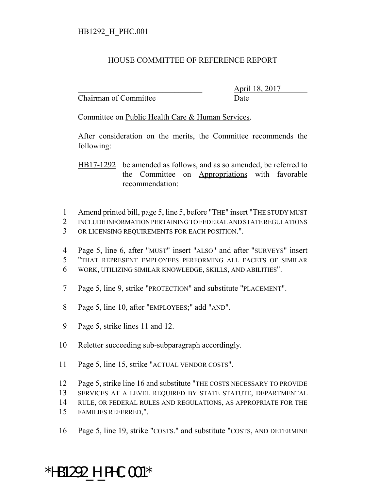## HOUSE COMMITTEE OF REFERENCE REPORT

Chairman of Committee Date

\_\_\_\_\_\_\_\_\_\_\_\_\_\_\_\_\_\_\_\_\_\_\_\_\_\_\_\_\_\_\_ April 18, 2017

Committee on Public Health Care & Human Services.

After consideration on the merits, the Committee recommends the following:

HB17-1292 be amended as follows, and as so amended, be referred to the Committee on Appropriations with favorable recommendation:

- 1 Amend printed bill, page 5, line 5, before "THE" insert "THE STUDY MUST
- 2 INCLUDE INFORMATION PERTAINING TO FEDERAL AND STATE REGULATIONS 3 OR LICENSING REQUIREMENTS FOR EACH POSITION.".
- 4 Page 5, line 6, after "MUST" insert "ALSO" and after "SURVEYS" insert 5 "THAT REPRESENT EMPLOYEES PERFORMING ALL FACETS OF SIMILAR 6 WORK, UTILIZING SIMILAR KNOWLEDGE, SKILLS, AND ABILITIES".
- 7 Page 5, line 9, strike "PROTECTION" and substitute "PLACEMENT".
- 8 Page 5, line 10, after "EMPLOYEES;" add "AND".
- 9 Page 5, strike lines 11 and 12.
- 10 Reletter succeeding sub-subparagraph accordingly.
- 11 Page 5, line 15, strike "ACTUAL VENDOR COSTS".
- 12 Page 5, strike line 16 and substitute "THE COSTS NECESSARY TO PROVIDE
- 13 SERVICES AT A LEVEL REQUIRED BY STATE STATUTE, DEPARTMENTAL
- 14 RULE, OR FEDERAL RULES AND REGULATIONS, AS APPROPRIATE FOR THE
- 15 FAMILIES REFERRED,".
- 16 Page 5, line 19, strike "COSTS." and substitute "COSTS, AND DETERMINE

## \*HB1292\_H\_PHC.001\*